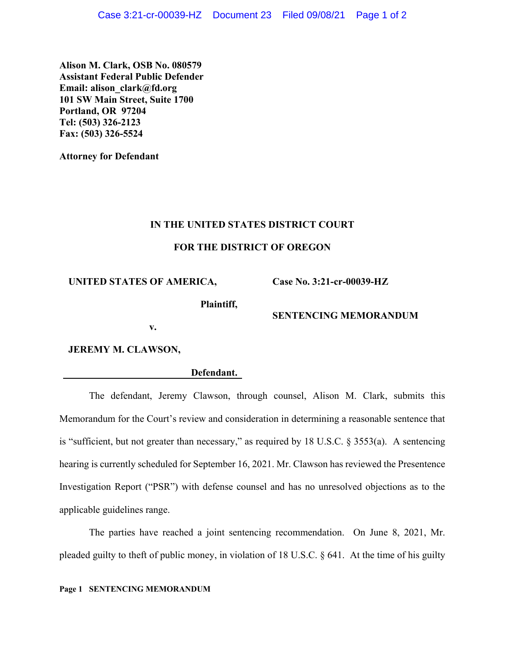**Alison M. Clark, OSB No. 080579 Assistant Federal Public Defender Email: alison\_clark@fd.org 101 SW Main Street, Suite 1700 Portland, OR 97204 Tel: (503) 326-2123 Fax: (503) 326-5524**

**Attorney for Defendant**

#### **IN THE UNITED STATES DISTRICT COURT**

## **FOR THE DISTRICT OF OREGON**

**UNITED STATES OF AMERICA,**

**Case No. 3:21-cr-00039-HZ**

**Plaintiff,**

## **SENTENCING MEMORANDUM**

**v.**

**JEREMY M. CLAWSON,**

**Defendant.**

The defendant, Jeremy Clawson, through counsel, Alison M. Clark, submits this Memorandum for the Court's review and consideration in determining a reasonable sentence that is "sufficient, but not greater than necessary," as required by 18 U.S.C. § 3553(a). A sentencing hearing is currently scheduled for September 16, 2021. Mr. Clawson has reviewed the Presentence Investigation Report ("PSR") with defense counsel and has no unresolved objections as to the applicable guidelines range.

The parties have reached a joint sentencing recommendation. On June 8, 2021, Mr. pleaded guilty to theft of public money, in violation of 18 U.S.C. § 641. At the time of his guilty

#### **Page 1 SENTENCING MEMORANDUM**